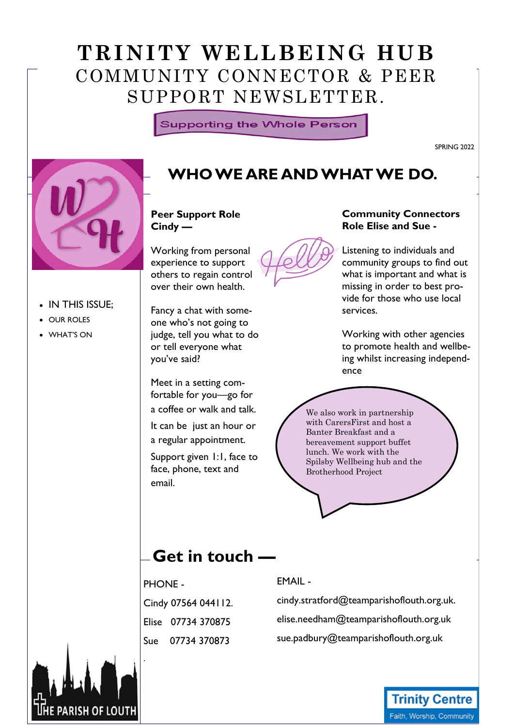# Trinity Wellbeing Hub. **TRINITY WELLBEING HUB**  COMMUNITY CONNECTOR & PEER SUPPORT NEWSLETTER.

**Supporting the Whole Person** 

SPRING 2022



• IN THIS ISSUE; OUR ROLES WHAT'S ON

### **WHO WE ARE AND WHAT WE DO.**

#### **Peer Support Role Cindy —**

Working from personal experience to support others to regain control over their own health.

Fancy a chat with someone who's not going to judge, tell you what to do or tell everyone what you've said?

Meet in a setting comfortable for you—go for a coffee or walk and talk.

It can be just an hour or a regular appointment.

Support given 1:1, face to face, phone, text and email.



#### **Community Connectors Role Elise and Sue -**

Listening to individuals and community groups to find out what is important and what is missing in order to best provide for those who use local services.

Working with other agencies to promote health and wellbeing whilst increasing independence

We also work in partnership with CarersFirst and host a Banter Breakfast and a bereavement support buffet lunch. We work with the Spilsby Wellbeing hub and the Brotherhood Project

## **Get in touch —**

PHONE - Cindy 07564 044112. Elise 07734 370875 Sue 07734 370873

### EMAIL -

cindy.stratford@teamparishoflouth.org.uk. elise.needham@teamparishoflouth.org.uk sue.padbury@teamparishoflouth.org.uk



### **Trinity Centre** Faith, Worship, Community